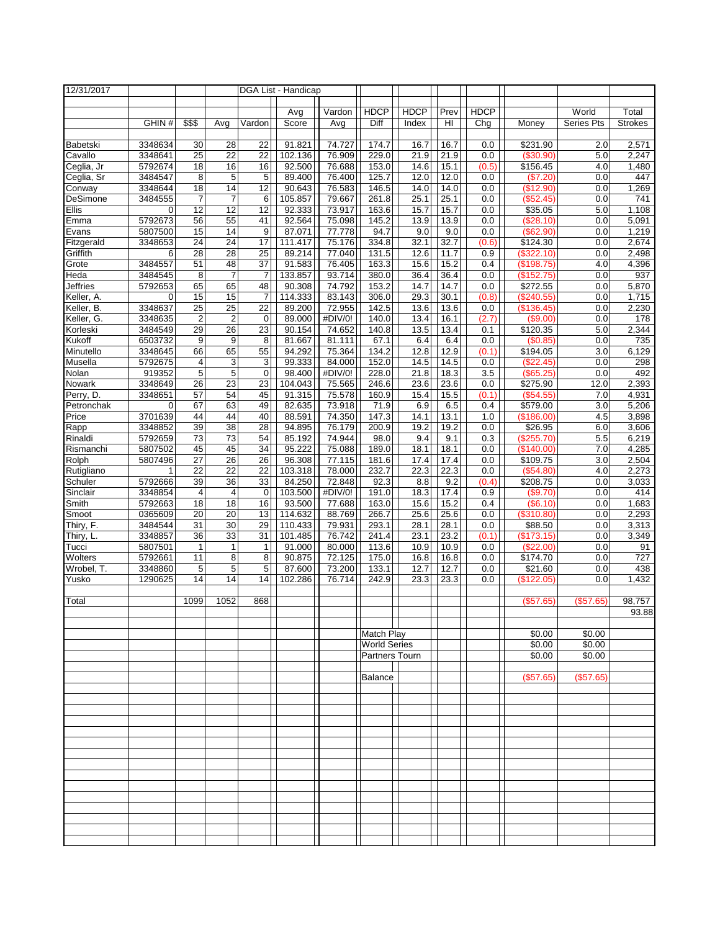| 12/31/2017             |                    |                               |                                   |                 | DGA List - Handicap |                   |                                              |              |              |              |                        |                  |                |
|------------------------|--------------------|-------------------------------|-----------------------------------|-----------------|---------------------|-------------------|----------------------------------------------|--------------|--------------|--------------|------------------------|------------------|----------------|
|                        |                    |                               |                                   |                 |                     |                   |                                              |              |              |              |                        |                  |                |
|                        |                    |                               |                                   |                 | Avg                 | Vardon            | <b>HDCP</b>                                  | <b>HDCP</b>  | Prev         | <b>HDCP</b>  |                        | World            | Total          |
|                        | GHIN#              | \$\$\$                        | Avg                               | Vardon          | Score               | Avg               | Diff                                         | Index        | HI           | Chg          | Money                  | Series Pts       | <b>Strokes</b> |
| Babetski               |                    |                               |                                   | 22              | 91.821              |                   | 174.7                                        |              |              |              |                        |                  | 2,571          |
| Cavallo                | 3348634<br>3348641 | 30<br>$\overline{25}$         | 28<br>22                          | 22              | 102.136             | 74.727<br>76.909  | 229.0                                        | 16.7<br>21.9 | 16.7<br>21.9 | 0.0<br>0.0   | \$231.90<br>(\$30.90)  | 2.0<br>5.0       | 2,247          |
| Ceglia, Jr             | 5792674            | $\overline{18}$               | 16                                | 16              | 92.500              | 76.688            | 153.0                                        | 14.6         | 15.1         | (0.5)        | \$156.45               | 4.0              | 1,480          |
| Ceglia, Sr             | 3484547            | 8                             | 5                                 | 5               | 89.400              | 76.400            | 125.7                                        | 12.0         | 12.0         | 0.0          | (\$7.20"               | 0.0              | 447            |
| Conway                 | 3348644            | $\overline{18}$               | 14                                | 12              | 90.643              | 76.583            | 146.5                                        | 14.0         | 14.0         | 0.0          | (\$12.90)              | 0.0              | 1,269          |
| DeSimone               | 3484555            | 7                             | 7                                 | 6               | 105.857             | 79.667            | 261.8                                        | 25.1         | 25.1         | 0.0          | (\$52.45)              | 0.0              | 741            |
| Ellis                  | 0                  | 12                            | 12                                | 12              | 92.333              | 73.917            | 163.6                                        | 15.7         | 15.7         | 0.0          | \$35.05                | 5.0              | 1,108          |
| Emma                   | 5792673            | 56                            | 55                                | 41              | 92.564              | 75.098            | 145.2                                        | 13.9         | 13.9         | 0.0          | (\$28.10)              | 0.0              | 5,091          |
| Evans                  | 5807500            | 15                            | 14                                | 9               | 87.071              | 77.778            | 94.7                                         | 9.0          | 9.0          | 0.0          | (\$62.90)              | 0.0              | 1,219          |
| Fitzgerald             | 3348653            | 24                            | $\overline{24}$                   | 17              | 111.417             | 75.176            | 334.8                                        | 32.1         | 32.7         | (0.6)        | \$124.30               | 0.0              | 2,674          |
| Griffith               | 6                  | 28                            | 28                                | $\overline{25}$ | 89.214              | 77.040            | 131.5                                        | 12.6         | 11.7         | 0.9          | (\$322.10)             | 0.0              | 2,498          |
| Grote                  | 3484557            | 51                            | 48                                | 37              | 91.583              | 76.405            | 163.3                                        | 15.6         | 15.2         | 0.4          | (\$198.75)             | 4.0              | 4,396          |
| Heda                   | 3484545            | 8                             | $\overline{7}$                    | 7               | 133.857             | 93.714            | 380.0                                        | 36.4         | 36.4         | 0.0          | (\$152.75)             | 0.0              | 937            |
| <b>Jeffries</b>        | 5792653            | 65                            | 65                                | 48              | 90.308              | 74.792            | 153.2                                        | 14.7         | 14.7         | 0.0          | \$272.55               | 0.0              | 5,870          |
| Keller, A.             | 0                  | 15                            | 15                                | 7               | 114.333             | 83.143            | 306.0                                        | 29.3         | 30.1         | (0.8)        | (\$240.55)             | 0.0              | 1,715          |
| Keller, B.             | 3348637<br>3348635 | $\overline{25}$               | $\overline{25}$<br>$\overline{c}$ | 22<br>0         | 89.200<br>89.000    | 72.955<br>#DIV/0! | 142.5<br>140.0                               | 13.6<br>13.4 | 13.6<br>16.1 | 0.0<br>(2.7) | (\$136.45)<br>(\$9.00) | 0.0<br>0.0       | 2,230<br>178   |
| Keller, G.<br>Korleski | 3484549            | $\overline{\mathbf{c}}$<br>29 | 26                                | 23              | 90.154              | 74.652            | 140.8                                        | 13.5         | 13.4         | 0.1          | \$120.35               | 5.0              | 2,344          |
| Kukoff                 | 6503732            | 9                             | 9                                 | 8               | 81.667              | 81.111            | 67.1                                         | 6.4          | 6.4          | 0.0          | (\$0.85)               | 0.0              | 735            |
| Minutello              | 3348645            | 66                            | 65                                | 55              | 94.292              | 75.364            | 134.2                                        | 12.8         | 12.9         | (0.1)        | \$194.05               | 3.0              | 6,129          |
| Musella                | 5792675            | 4                             | 3                                 | 3               | 99.333              | 84.000            | 152.0                                        | 14.5         | 14.5         | 0.0          | (\$22.45)              | 0.0              | 298            |
| Nolan                  | 919352             | 5                             | 5                                 | $\mathbf 0$     | 98.400              | #DIV/0!           | 228.0                                        | 21.8         | 18.3         | 3.5          | $(\$65.25)$            | 0.0              | 492            |
| Nowark                 | 3348649            | 26                            | 23                                | 23              | 104.043             | 75.565            | 246.6                                        | 23.6         | 23.6         | 0.0          | \$275.90               | 12.0             | 2,393          |
| Perry, D.              | 3348651            | 57                            | 54                                | 45              | 91.315              | 75.578            | 160.9                                        | 15.4         | 15.5         | (0.1)        | (\$54.55)              | 7.0              | 4,931          |
| Petronchak             | 0                  | 67                            | 63                                | 49              | 82.635              | 73.918            | 71.9                                         | 6.9          | 6.5          | 0.4          | \$579.00               | 3.0              | 5,206          |
| Price                  | 3701639            | 44                            | 44                                | 40              | 88.591              | 74.350            | 147.3                                        | 14.1         | 13.1         | 1.0          | (\$186.00)             | 4.5              | 3,898          |
| Rapp                   | 3348852            | 39                            | $\overline{38}$                   | 28              | 94.895              | 76.179            | 200.9                                        | 19.2         | 19.2         | 0.0          | \$26.95                | 6.0              | 3,606          |
| Rinaldi                | 5792659            | 73                            | 73                                | 54              | 85.192              | 74.944            | 98.0                                         | 9.4          | 9.1          | 0.3          | (\$255.70)             | 5.5              | 6,219          |
| Rismanchi              | 5807502            | 45                            | 45                                | 34              | 95.222              | 75.088            | 189.0                                        | 18.1         | 18.1         | 0.0          | (\$140.00)             | 7.0              | 4,285          |
| Rolph                  | 5807496            | 27                            | 26                                | 26              | 96.308              | 77.115            | 181.6                                        | 17.4         | 17.4         | 0.0          | \$109.75               | 3.0              | 2,504          |
| Rutigliano             | 1                  | $\overline{22}$               | $\overline{22}$                   | 22              | 103.318             | 78.000            | 232.7                                        | 22.3         | 22.3         | 0.0          | (\$54.80)              | 4.0              | 2,273          |
| Schuler                | 5792666<br>3348854 | 39<br>4                       | 36                                | 33              | 84.250<br>103.500   | 72.848<br>#DIV/0! | 92.3<br>191.0                                | 8.8<br>18.3  | 9.2<br>17.4  | (0.4)        | \$208.75               | 0.0              | 3,033<br>414   |
| Sinclair<br>Smith      | 5792663            | $\overline{18}$               | 4<br>$\overline{18}$              | 0<br>16         | 93.500              | 77.688            | 163.0                                        | 15.6         | 15.2         | 0.9<br>0.4   | (\$9.70)<br>(S6.10)    | 0.0<br>0.0       | 1,683          |
| Smoot                  | 0365609            | 20                            | 20                                | 13              | 114.632             | 88.769            | 266.7                                        | 25.6         | 25.6         | 0.0          | (\$310.80)             | 0.0              | 2,293          |
| Thiry, F.              | 3484544            | 31                            | 30                                | 29              | 110.433             | 79.931            | 293.1                                        | 28.1         | 28.1         | 0.0          | \$88.50                | 0.0              | 3,313          |
| Thiry, L.              | 3348857            | 36                            | 33                                | $\overline{31}$ | 101.485             | 76.742            | 241.4                                        | 23.1         | 23.2         | (0.1)        | (\$173.15)             | 0.0              | 3,349          |
| Tucci                  | 5807501            | $\mathbf{1}$                  | 1                                 | $\mathbf{1}$    | 91.000              | 80.000            | 113.6                                        | 10.9         | 10.9         | 0.0          | (\$22.00)              | 0.0              | 91             |
| Wolters                | 5792661            | 11                            | 8                                 | 8               | 90.875              | 72.125            | 175.0                                        | 16.8         | 16.8         | 0.0          | \$174.70               | 0.0              | 727            |
| Wrobel, T.             | 3348860            | 5                             | 5                                 | $\overline{5}$  | 87.600              | 73.200            | 133.1                                        | 12.7         | 12.7         | 0.0          | \$21.60                | 0.0              | 438            |
| Yusko                  | 1290625            | 14                            | 14                                | 14              | 102.286             | 76.714            | 242.9                                        | 23.3         | 23.3         | 0.0          | \$122.05               | 0.0              | 1,432          |
|                        |                    |                               |                                   |                 |                     |                   |                                              |              |              |              |                        |                  |                |
| Total                  |                    | 1099                          | 1052                              | 868             |                     |                   |                                              |              |              |              | (\$57.65)              | $(\$57.65)$      | 98,757         |
|                        |                    |                               |                                   |                 |                     |                   |                                              |              |              |              |                        |                  | 93.88          |
|                        |                    |                               |                                   |                 |                     |                   |                                              |              |              |              |                        |                  |                |
|                        |                    |                               |                                   |                 |                     |                   | <b>Match Play</b>                            |              |              |              | \$0.00                 | \$0.00           |                |
|                        |                    |                               |                                   |                 |                     |                   | <b>World Series</b><br><b>Partners Tourn</b> |              |              |              | \$0.00<br>\$0.00       | \$0.00<br>\$0.00 |                |
|                        |                    |                               |                                   |                 |                     |                   |                                              |              |              |              |                        |                  |                |
|                        |                    |                               |                                   |                 |                     |                   | <b>Balance</b>                               |              |              |              | (\$57.65)              | (\$57.65)        |                |
|                        |                    |                               |                                   |                 |                     |                   |                                              |              |              |              |                        |                  |                |
|                        |                    |                               |                                   |                 |                     |                   |                                              |              |              |              |                        |                  |                |
|                        |                    |                               |                                   |                 |                     |                   |                                              |              |              |              |                        |                  |                |
|                        |                    |                               |                                   |                 |                     |                   |                                              |              |              |              |                        |                  |                |
|                        |                    |                               |                                   |                 |                     |                   |                                              |              |              |              |                        |                  |                |
|                        |                    |                               |                                   |                 |                     |                   |                                              |              |              |              |                        |                  |                |
|                        |                    |                               |                                   |                 |                     |                   |                                              |              |              |              |                        |                  |                |
|                        |                    |                               |                                   |                 |                     |                   |                                              |              |              |              |                        |                  |                |
|                        |                    |                               |                                   |                 |                     |                   |                                              |              |              |              |                        |                  |                |
|                        |                    |                               |                                   |                 |                     |                   |                                              |              |              |              |                        |                  |                |
|                        |                    |                               |                                   |                 |                     |                   |                                              |              |              |              |                        |                  |                |
|                        |                    |                               |                                   |                 |                     |                   |                                              |              |              |              |                        |                  |                |
|                        |                    |                               |                                   |                 |                     |                   |                                              |              |              |              |                        |                  |                |
|                        |                    |                               |                                   |                 |                     |                   |                                              |              |              |              |                        |                  |                |